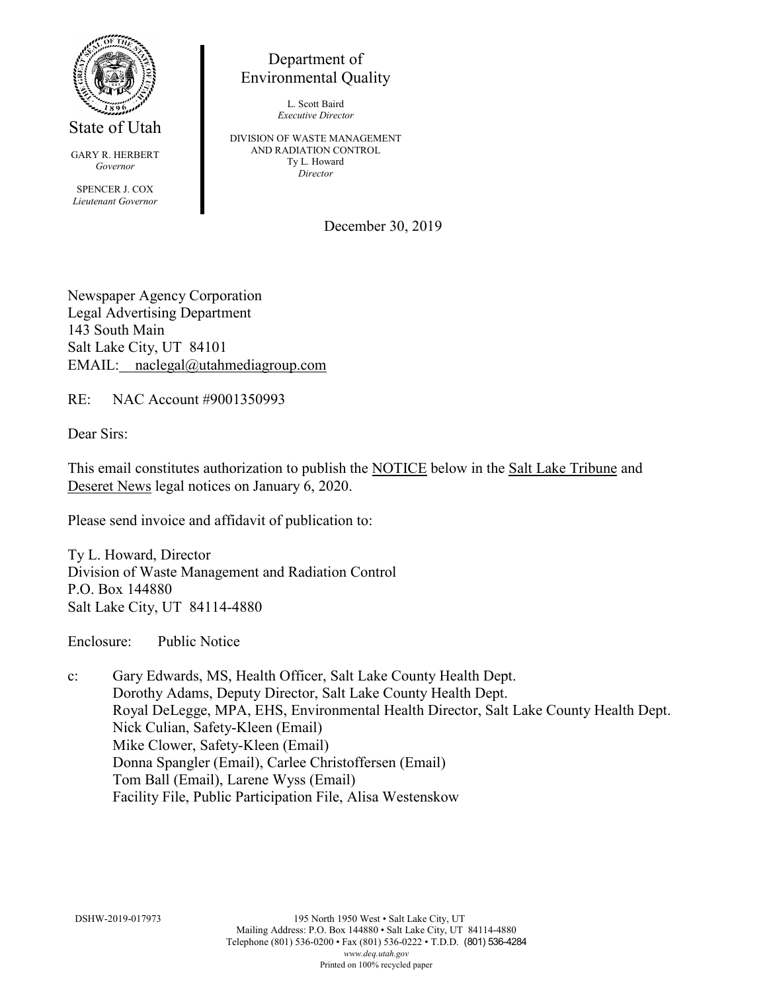

State of Utah

GARY R. HERBERT *Governor* SPENCER J. COX *Lieutenant Governor*

Department of Environmental Quality

> L. Scott Baird *Executive Director*

DIVISION OF WASTE MANAGEMENT AND RADIATION CONTROL Ty L. Howard *Director*

December 30, 2019

Newspaper Agency Corporation Legal Advertising Department 143 South Main Salt Lake City, UT 84101 EMAIL: naclegal@utahmediagroup.com

RE: NAC Account #9001350993

Dear Sirs:

This email constitutes authorization to publish the NOTICE below in the Salt Lake Tribune and Deseret News legal notices on January 6, 2020.

Please send invoice and affidavit of publication to:

Ty L. Howard, Director Division of Waste Management and Radiation Control P.O. Box 144880 Salt Lake City, UT 84114-4880

Enclosure: Public Notice

c: Gary Edwards, MS, Health Officer, Salt Lake County Health Dept. Dorothy Adams, Deputy Director, Salt Lake County Health Dept. Royal DeLegge, MPA, EHS, Environmental Health Director, Salt Lake County Health Dept. Nick Culian, Safety-Kleen (Email) Mike Clower, Safety-Kleen (Email) Donna Spangler (Email), Carlee Christoffersen (Email) Tom Ball (Email), Larene Wyss (Email) Facility File, Public Participation File, Alisa Westenskow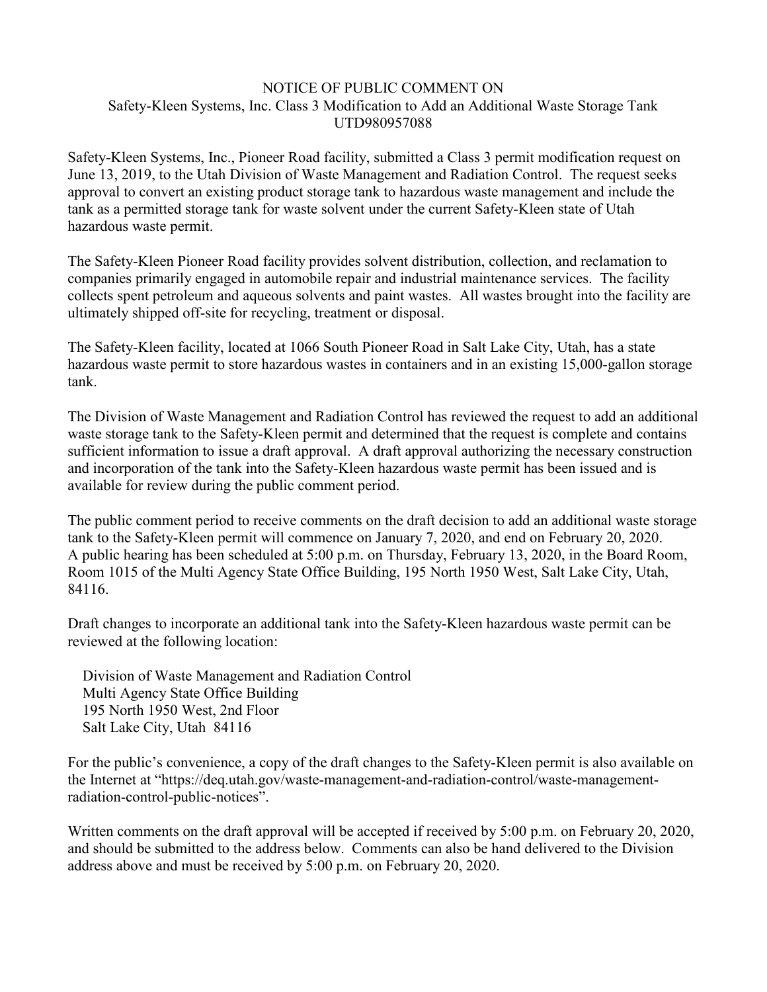### NOTICE OF PUBLIC COMMENT ON Safety-Kleen Systems, Inc. Class 3 Modification to Add an Additional Waste Storage Tank UTD980957088

Safety-Kleen Systems, Inc., Pioneer Road facility, submitted a Class 3 permit modification request on June 13, 2019, to the Utah Division of Waste Management and Radiation Control. The request seeks approval to convert an existing product storage tank to hazardous waste management and include the tank as a permitted storage tank for waste solvent under the current Safety-Kleen state of Utah hazardous waste permit.

The Safety-Kleen Pioneer Road facility provides solvent distribution, collection, and reclamation to companies primarily engaged in automobile repair and industrial maintenance services. The facility collects spent petroleum and aqueous solvents and paint wastes. All wastes brought into the facility are ultimately shipped off-site for recycling, treatment or disposal.

The Safety-Kleen facility, located at 1066 South Pioneer Road in Salt Lake City, Utah, has a state hazardous waste permit to store hazardous wastes in containers and in an existing 15,000-gallon storage tank.

The Division of Waste Management and Radiation Control has reviewed the request to add an additional waste storage tank to the Safety-Kleen permit and determined that the request is complete and contains sufficient information to issue a draft approval. A draft approval authorizing the necessary construction and incorporation of the tank into the Safety-Kleen hazardous waste permit has been issued and is available for review during the public comment period.

The public comment period to receive comments on the draft decision to add an additional waste storage tank to the Safety-Kleen permit will commence on January 7, 2020, and end on February 20, 2020. A public hearing has been scheduled at 5:00 p.m. on Thursday, February 13, 2020, in the Board Room, Room 1015 of the Multi Agency State Office Building, 195 North 1950 West, Salt Lake City, Utah, 84116.

Draft changes to incorporate an additional tank into the Safety-Kleen hazardous waste permit can be reviewed at the following location:

Division of Waste Management and Radiation Control Multi Agency State Office Building 195 North 1950 West, 2nd Floor Salt Lake City, Utah 84116

For the public's convenience, a copy of the draft changes to the Safety-Kleen permit is also available on the Internet at "https://deq.utah.gov/waste-management-and-radiation-control/waste-managementradiation-control-public-notices".

Written comments on the draft approval will be accepted if received by 5:00 p.m. on February 20, 2020, and should be submitted to the address below. Comments can also be hand delivered to the Division address above and must be received by 5:00 p.m. on February 20, 2020.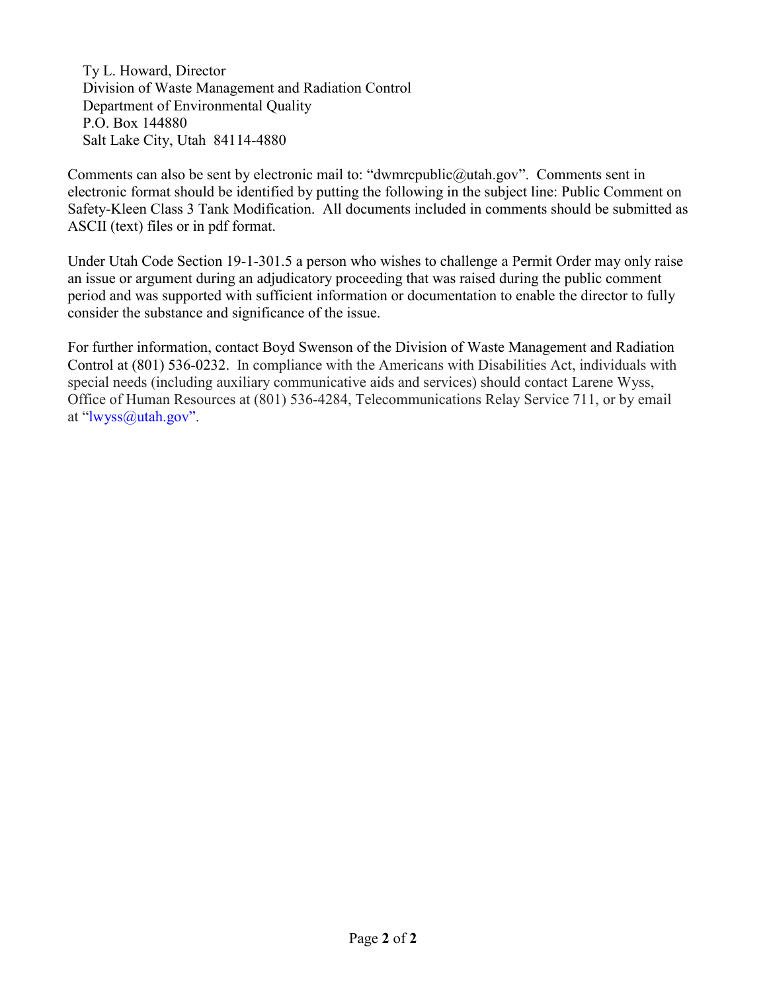Ty L. Howard, Director Division of Waste Management and Radiation Control Department of Environmental Quality P.O. Box 144880 Salt Lake City, Utah 84114-4880

Comments can also be sent by electronic mail to: "dwmrcpublic@utah.gov". Comments sent in electronic format should be identified by putting the following in the subject line: Public Comment on Safety-Kleen Class 3 Tank Modification. All documents included in comments should be submitted as ASCII (text) files or in pdf format.

Under Utah Code Section 19-1-301.5 a person who wishes to challenge a Permit Order may only raise an issue or argument during an adjudicatory proceeding that was raised during the public comment period and was supported with sufficient information or documentation to enable the director to fully consider the substance and significance of the issue.

For further information, contact Boyd Swenson of the Division of Waste Management and Radiation Control at (801) 536-0232. In compliance with the Americans with Disabilities Act, individuals with special needs (including auxiliary communicative aids and services) should contact Larene Wyss, Office of Human Resources at (801) 536-4284, Telecommunications Relay Service 711, or by email at ["lwyss@utah.gov"](mailto:lwyss@utah.gov).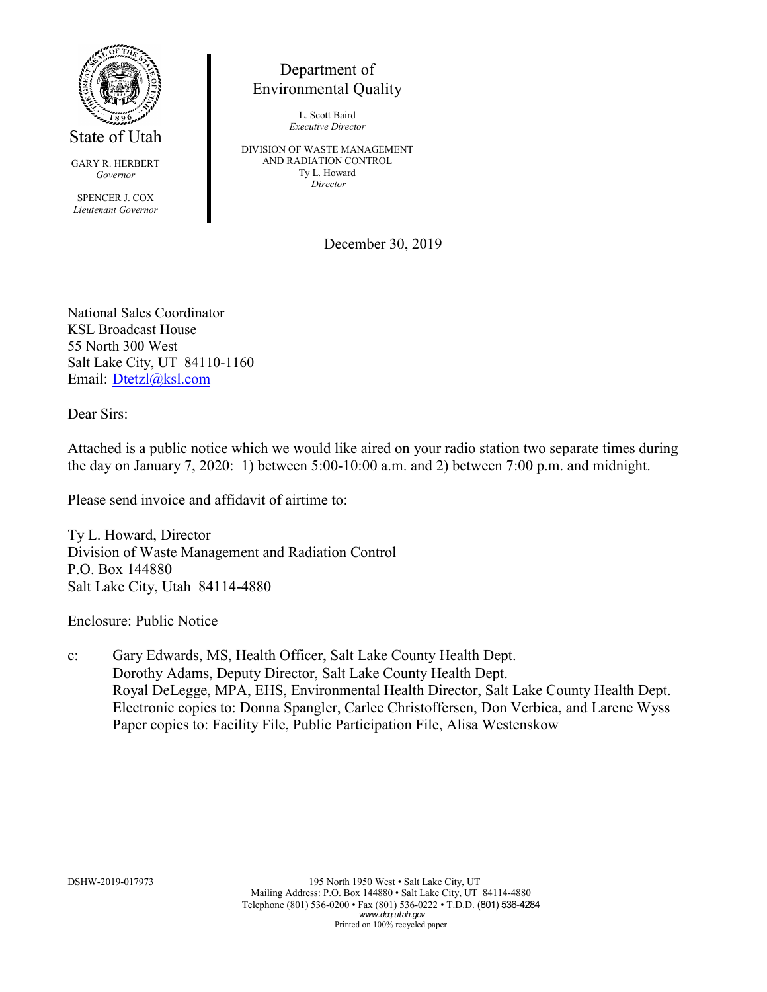

GARY R. HERBERT *Governor*

SPENCER J. COX *Lieutenant Governor*

# Department of Environmental Quality

L. Scott Baird *Executive Director*

DIVISION OF WASTE MANAGEMENT AND RADIATION CONTROL Ty L. Howard *Director*

December 30, 2019

National Sales Coordinator KSL Broadcast House 55 North 300 West Salt Lake City, UT 84110-1160 Email: [Dtetzl@ksl.com](mailto:Dtetzl@ksl.com)

Dear Sirs:

Attached is a public notice which we would like aired on your radio station two separate times during the day on January 7, 2020: 1) between 5:00-10:00 a.m. and 2) between 7:00 p.m. and midnight.

Please send invoice and affidavit of airtime to:

Ty L. Howard, Director Division of Waste Management and Radiation Control P.O. Box 144880 Salt Lake City, Utah 84114-4880

Enclosure: Public Notice

c: Gary Edwards, MS, Health Officer, Salt Lake County Health Dept. Dorothy Adams, Deputy Director, Salt Lake County Health Dept. Royal DeLegge, MPA, EHS, Environmental Health Director, Salt Lake County Health Dept. Electronic copies to: Donna Spangler, Carlee Christoffersen, Don Verbica, and Larene Wyss Paper copies to: Facility File, Public Participation File, Alisa Westenskow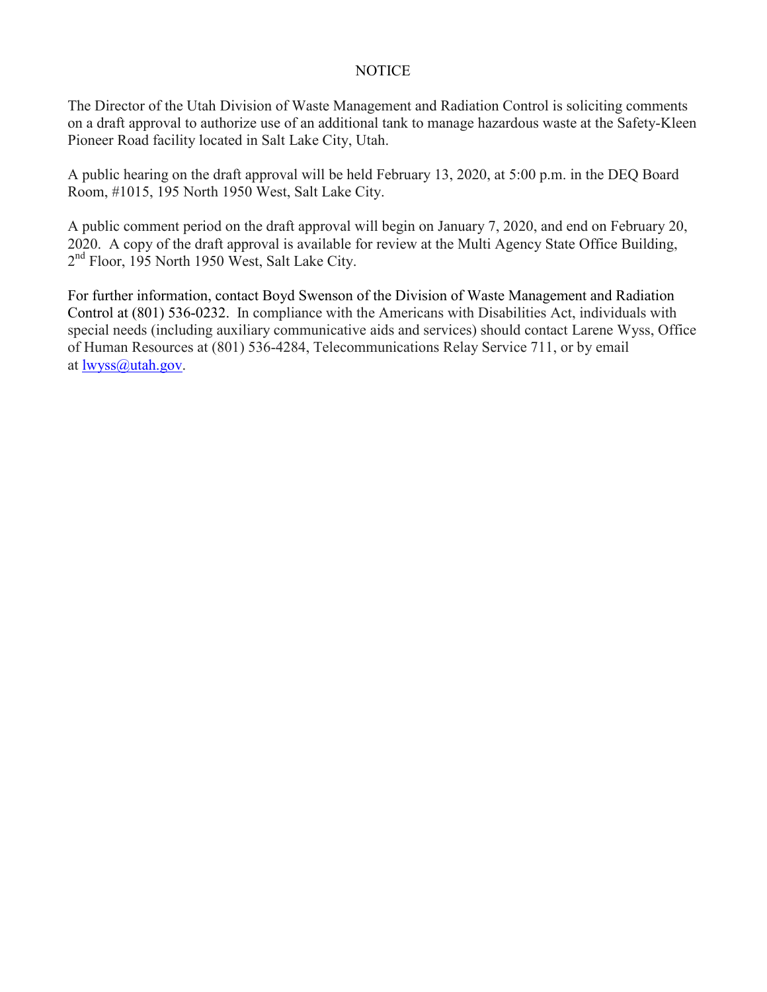### NOTICE

The Director of the Utah Division of Waste Management and Radiation Control is soliciting comments on a draft approval to authorize use of an additional tank to manage hazardous waste at the Safety-Kleen Pioneer Road facility located in Salt Lake City, Utah.

A public hearing on the draft approval will be held February 13, 2020, at 5:00 p.m. in the DEQ Board Room, #1015, 195 North 1950 West, Salt Lake City.

A public comment period on the draft approval will begin on January 7, 2020, and end on February 20, 2020. A copy of the draft approval is available for review at the Multi Agency State Office Building, 2<sup>nd</sup> Floor, 195 North 1950 West, Salt Lake City.

For further information, contact Boyd Swenson of the Division of Waste Management and Radiation Control at (801) 536-0232. In compliance with the Americans with Disabilities Act, individuals with special needs (including auxiliary communicative aids and services) should contact Larene Wyss, Office of Human Resources at (801) 536-4284, Telecommunications Relay Service 711, or by email at [lwyss@utah.gov.](mailto:lwyss@utah.gov)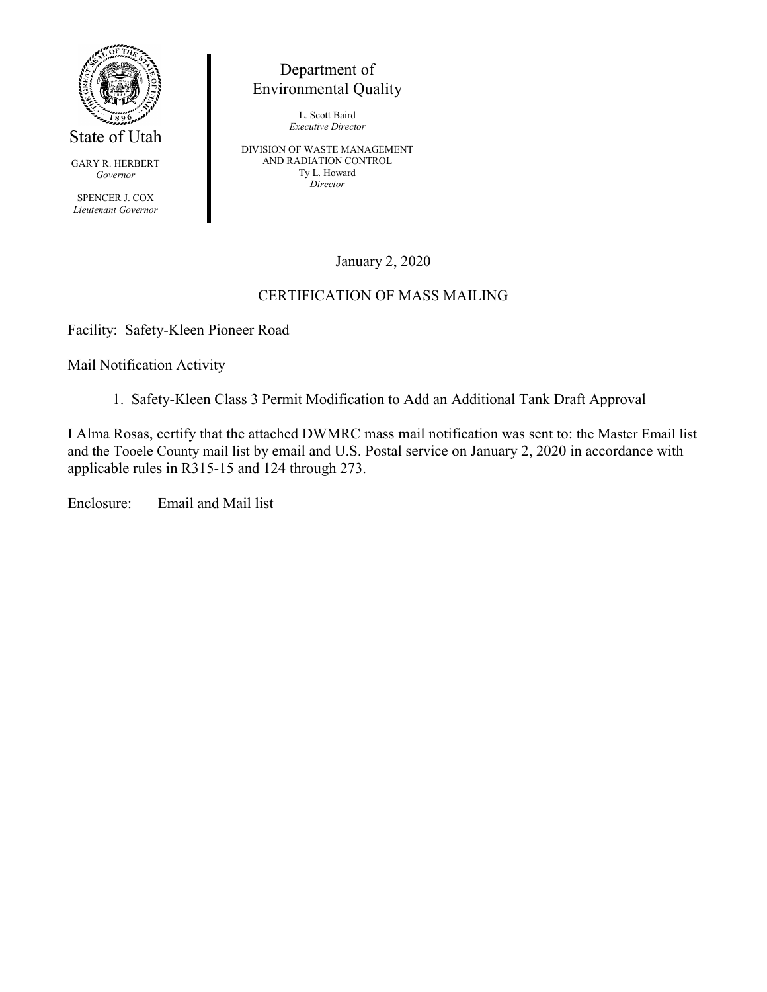

GARY R. HERBERT *Governor*

SPENCER J. COX *Lieutenant Governor*

Department of Environmental Quality

> L. Scott Baird *Executive Director*

DIVISION OF WASTE MANAGEMENT AND RADIATION CONTROL Ty L. Howard *Director*

January 2, 2020

# CERTIFICATION OF MASS MAILING

Facility: Safety-Kleen Pioneer Road

Mail Notification Activity

1. Safety-Kleen Class 3 Permit Modification to Add an Additional Tank Draft Approval

I Alma Rosas, certify that the attached DWMRC mass mail notification was sent to: the Master Email list and the Tooele County mail list by email and U.S. Postal service on January 2, 2020 in accordance with applicable rules in R315-15 and 124 through 273.

Enclosure: Email and Mail list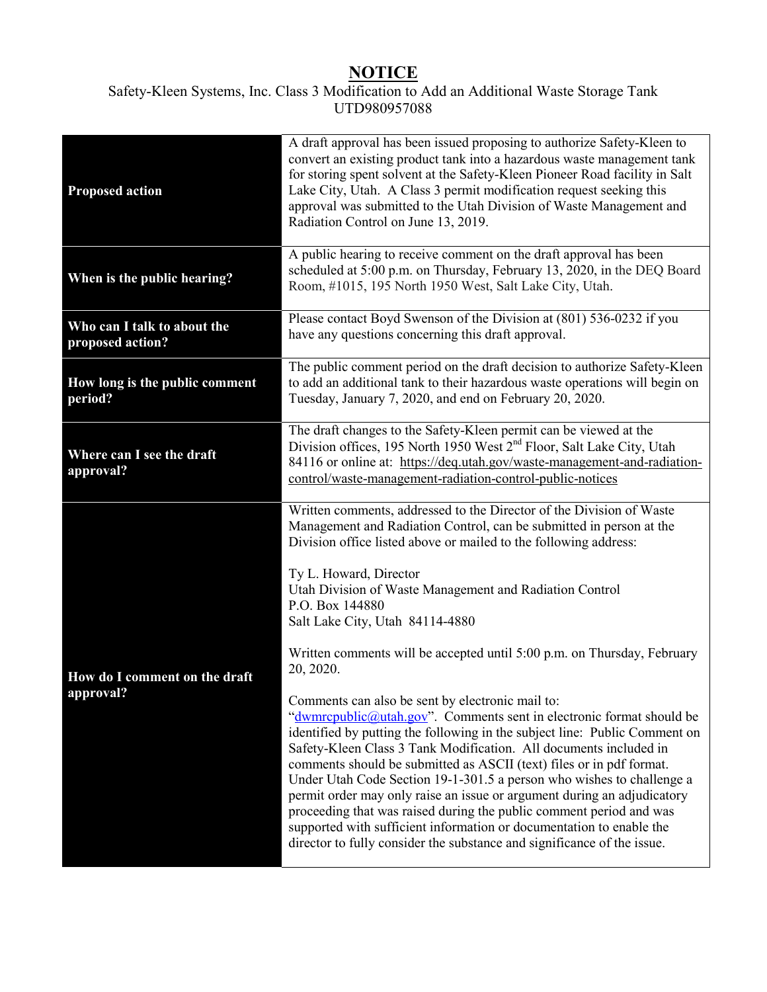# **NOTICE**

### Safety-Kleen Systems, Inc. Class 3 Modification to Add an Additional Waste Storage Tank UTD980957088

| <b>Proposed action</b>                          | A draft approval has been issued proposing to authorize Safety-Kleen to<br>convert an existing product tank into a hazardous waste management tank<br>for storing spent solvent at the Safety-Kleen Pioneer Road facility in Salt<br>Lake City, Utah. A Class 3 permit modification request seeking this<br>approval was submitted to the Utah Division of Waste Management and<br>Radiation Control on June 13, 2019.                                                                                                                                                                                                                                                                                                            |  |  |  |  |
|-------------------------------------------------|-----------------------------------------------------------------------------------------------------------------------------------------------------------------------------------------------------------------------------------------------------------------------------------------------------------------------------------------------------------------------------------------------------------------------------------------------------------------------------------------------------------------------------------------------------------------------------------------------------------------------------------------------------------------------------------------------------------------------------------|--|--|--|--|
| When is the public hearing?                     | A public hearing to receive comment on the draft approval has been<br>scheduled at 5:00 p.m. on Thursday, February 13, 2020, in the DEQ Board<br>Room, #1015, 195 North 1950 West, Salt Lake City, Utah.                                                                                                                                                                                                                                                                                                                                                                                                                                                                                                                          |  |  |  |  |
| Who can I talk to about the<br>proposed action? | Please contact Boyd Swenson of the Division at (801) 536-0232 if you<br>have any questions concerning this draft approval.                                                                                                                                                                                                                                                                                                                                                                                                                                                                                                                                                                                                        |  |  |  |  |
| How long is the public comment<br>period?       | The public comment period on the draft decision to authorize Safety-Kleen<br>to add an additional tank to their hazardous waste operations will begin on<br>Tuesday, January 7, 2020, and end on February 20, 2020.                                                                                                                                                                                                                                                                                                                                                                                                                                                                                                               |  |  |  |  |
| Where can I see the draft<br>approval?          | The draft changes to the Safety-Kleen permit can be viewed at the<br>Division offices, 195 North 1950 West 2 <sup>nd</sup> Floor, Salt Lake City, Utah<br>84116 or online at: https://deq.utah.gov/waste-management-and-radiation-<br>control/waste-management-radiation-control-public-notices                                                                                                                                                                                                                                                                                                                                                                                                                                   |  |  |  |  |
| How do I comment on the draft<br>approval?      | Written comments, addressed to the Director of the Division of Waste<br>Management and Radiation Control, can be submitted in person at the<br>Division office listed above or mailed to the following address:                                                                                                                                                                                                                                                                                                                                                                                                                                                                                                                   |  |  |  |  |
|                                                 | Ty L. Howard, Director<br>Utah Division of Waste Management and Radiation Control<br>P.O. Box 144880<br>Salt Lake City, Utah 84114-4880                                                                                                                                                                                                                                                                                                                                                                                                                                                                                                                                                                                           |  |  |  |  |
|                                                 | Written comments will be accepted until 5:00 p.m. on Thursday, February<br>20, 2020.                                                                                                                                                                                                                                                                                                                                                                                                                                                                                                                                                                                                                                              |  |  |  |  |
|                                                 | Comments can also be sent by electronic mail to:<br>"dwmrcpublic@utah.gov". Comments sent in electronic format should be<br>identified by putting the following in the subject line: Public Comment on<br>Safety-Kleen Class 3 Tank Modification. All documents included in<br>comments should be submitted as ASCII (text) files or in pdf format.<br>Under Utah Code Section 19-1-301.5 a person who wishes to challenge a<br>permit order may only raise an issue or argument during an adjudicatory<br>proceeding that was raised during the public comment period and was<br>supported with sufficient information or documentation to enable the<br>director to fully consider the substance and significance of the issue. |  |  |  |  |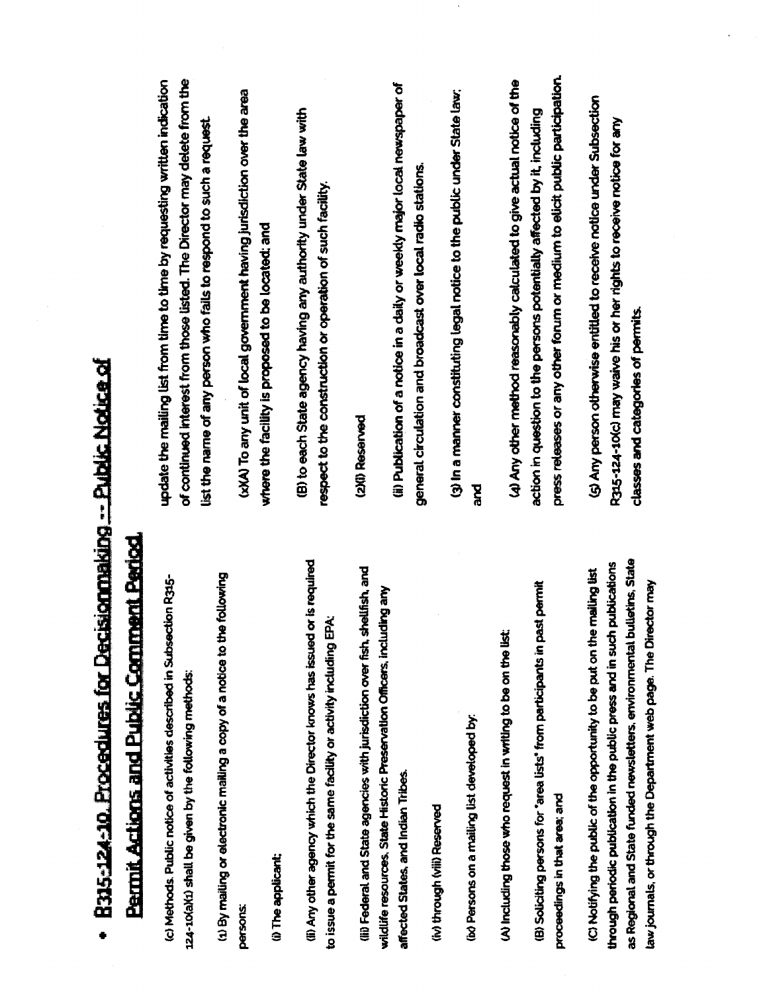| 115-124-10. Procedures for Decisionmaking -- Public Notice of                                                                                                                                                                                                           |                                                                                                                                                                                                                                   |
|-------------------------------------------------------------------------------------------------------------------------------------------------------------------------------------------------------------------------------------------------------------------------|-----------------------------------------------------------------------------------------------------------------------------------------------------------------------------------------------------------------------------------|
| <b>armit Actions and Public Comment Period.</b>                                                                                                                                                                                                                         |                                                                                                                                                                                                                                   |
| the following<br>nods. Public notice of activities described in Subsection R315-<br>(1) shall be given by the following methods:                                                                                                                                        | of continued interest from those listed. The Director may delete from the<br>update the mailing list from time to time by requesting written indication<br>list the name of any person who falls to respond to such a request     |
| ailing or electronic mailing a copy of a notice to<br><b>eplicant;</b>                                                                                                                                                                                                  | (xXA) To any unit of local government having jurisdiction over the area<br>where the facility is proposed to be located: and                                                                                                      |
| other agency which the Director knows has issued or is required<br>Ğ.<br>a permit for the same facility or activity including                                                                                                                                           | (B) to each State agency having any authority under State law with<br>respect to the construction or operation of such facility.                                                                                                  |
| aral and State agencies with jurisdiction over fish, shellfish, and<br>esources, State Historic Preservation Officers, including any<br>States, and Indian Tribes.                                                                                                      | (ii) Publication of a notice in a daily or weekly major local newspaper of<br>general circulation and broadcast over local radio stations.<br>(2)(I) Reserved                                                                     |
| cons on a mailing list developed by:<br>ugh (viii) Reserved                                                                                                                                                                                                             | (3) In a manner constituting legal notice to the public under State law;<br><b>Dese</b>                                                                                                                                           |
| past permit<br>uding those who request in writing to be on the list:<br>citing persons for "area lists" from participants in<br>ngs in that area; and                                                                                                                   | press releases or any other forum or medium to elicit public participation.<br>(4) Any other method reasonably calculated to give actual notice of the<br>action in question to the persons potentially affected by it, including |
| nal and State funded newsletters, environmental bulletins, State<br>periodic publication in the public press and in such publications<br>fying the public of the opportunity to be put on the mailing list<br>als, or through the Department web page. The Director may | (5) Any person otherwise entitled to receive notice under Subsection<br>R315-124-10(c) may waive his or her rights to receive notice for any<br>classes and categories of permits.                                                |

Ŷ,

# b o t  $\frac{9}{2}$  $\mathbf{R}$ E d t I

**Hether**<br>
(c) Metho<br>
124-100AY<br>
(d) By ma<br>
16 Here appears<br>
16 Here et Geden<br>
16 Here et Geden<br>
16 Here et Geden<br>
16 Here et Geden<br>
16 Here et Geden<br>
16 Here et Geden<br>
16 Here et Geden<br>
16 Here et Geden<br>
16 Here et Geden<br>

iw) throu<br>to Person<br>(B) Solici<br>C) Notify<br>through passed<br>as Region<br>as day journa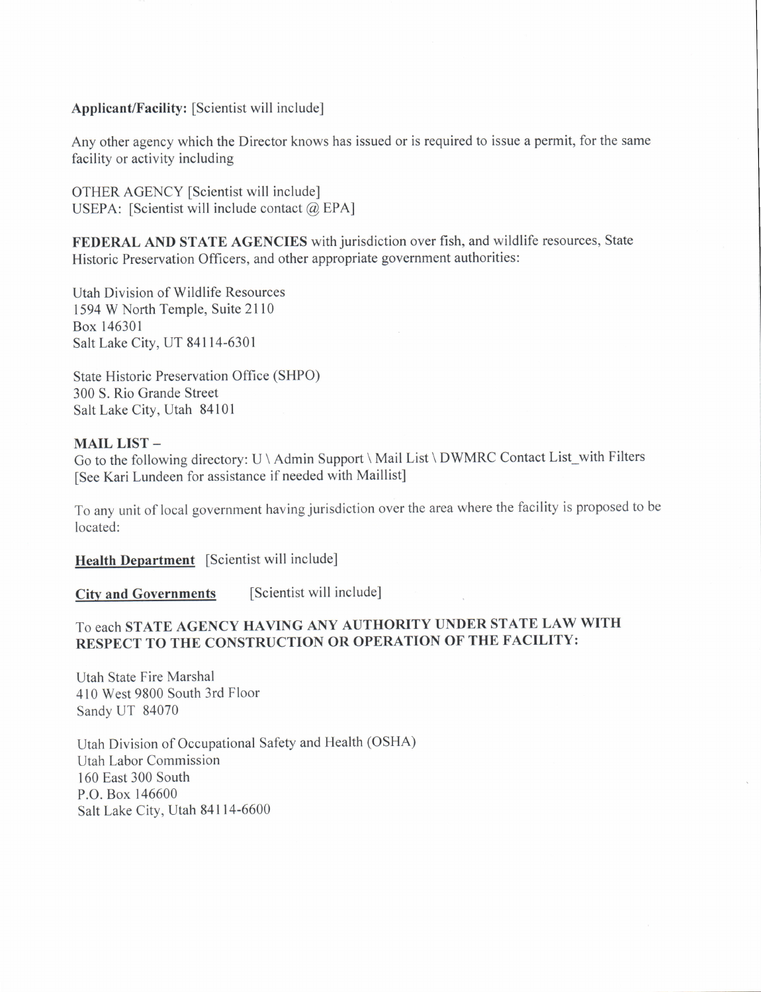### Applicant/Facility: [Scientist will include]

Any other agency which the Director knows has issued or is required to issue a permit, for the same facility or activity including

OTHER AGENCY [Scientist will include] USEPA: [Scientist will include contact @ EPA]

FEDERAL AND STATE AGENCIES with jurisdiction over fish, and wildlife resources, State Historic Preservation Officers, and other appropriate government authorities:

Utah Division of Wildlife Resources 1594 W North Temple, Suite 2l l0 Box 146301 Salt Lake City, UT 84114-6301

State Historic Preservation Office (SHPO) 300 S. Rio Grande Street Salt Lake City, Utah 84101

### MAIL LIST -

Go to the following directory: U \ Admin Support \ Mail List \ DWMRC Contact List\_with Filters [See Kari Lundeen for assistance if needed with Maillist]

To any unit of local government having jurisdiction over the area where the facility is proposed to be located:

Health Department [Scientist will include]

City and Governments [Scientist will include]

### To each STATE AGENCY HAVING ANY AUTHORITY UNDER STATE LAW WITH RESPECT TO THE CONSTRUCTION OR OPERATION OF THE FACILITY:

Utah State Fire Marshal 410 West 9800 South 3rd Floor Sandy UT 84070

Utah Division of Occupational Safety and Health (OSHA) Utah Labor Commission 160 East 300 South P.O. Box 146600 Salt Lake City, Utah 84114-6600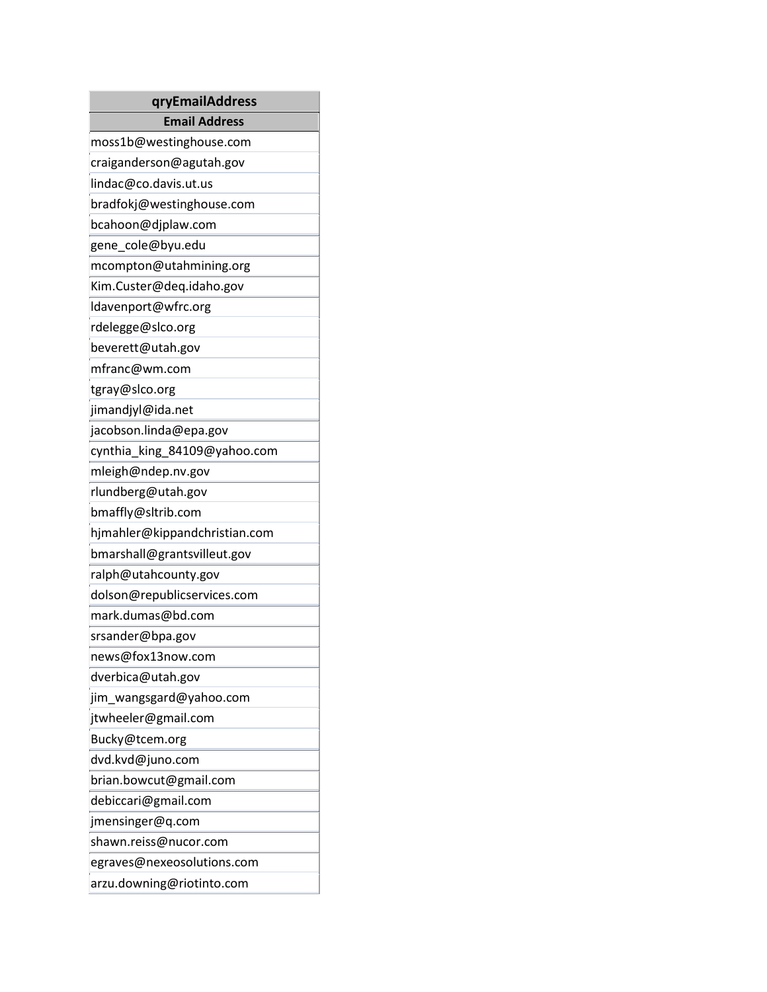| qryEmailAddress               |
|-------------------------------|
| <b>Email Address</b>          |
| moss1b@westinghouse.com       |
| craiganderson@agutah.gov      |
| lindac@co.davis.ut.us         |
| bradfokj@westinghouse.com     |
| bcahoon@djplaw.com            |
| gene_cole@byu.edu             |
| mcompton@utahmining.org       |
| Kim.Custer@deq.idaho.gov      |
| ldavenport@wfrc.org           |
| rdelegge@slco.org             |
| beverett@utah.gov             |
| mfranc@wm.com                 |
| tgray@slco.org                |
| jimandjyl@ida.net             |
| jacobson.linda@epa.gov        |
| cynthia_king_84109@yahoo.com  |
| mleigh@ndep.nv.gov            |
| rlundberg@utah.gov            |
| bmaffly@sltrib.com            |
| hjmahler@kippandchristian.com |
| bmarshall@grantsvilleut.gov   |
| ralph@utahcounty.gov          |
| dolson@republicservices.com   |
| mark.dumas@bd.com             |
| srsander@bpa.gov              |
| news@fox13now.com             |
| dverbica@utah.gov             |
| jim_wangsgard@yahoo.com       |
| jtwheeler@gmail.com           |
| Bucky@tcem.org                |
| dvd.kvd@juno.com              |
| brian.bowcut@gmail.com        |
| debiccari@gmail.com           |
| jmensinger@q.com              |
| shawn.reiss@nucor.com         |
| egraves@nexeosolutions.com    |
| arzu.downing@riotinto.com     |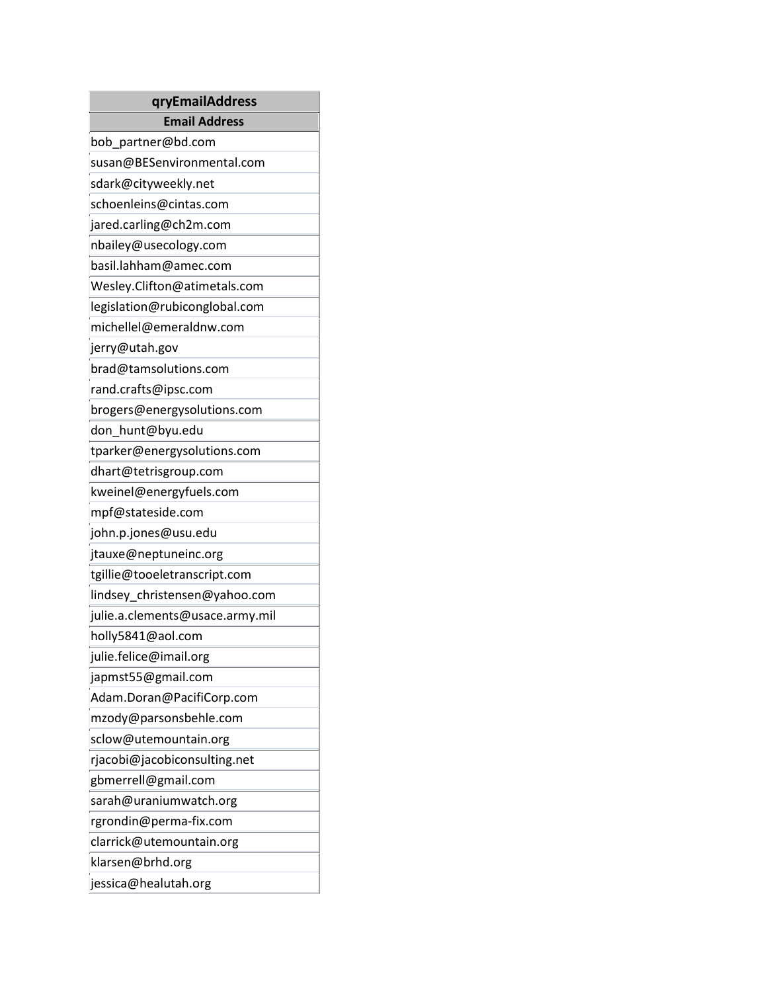| qryEmailAddress                 |  |  |
|---------------------------------|--|--|
| <b>Email Address</b>            |  |  |
| bob_partner@bd.com              |  |  |
| susan@BESenvironmental.com      |  |  |
| sdark@cityweekly.net            |  |  |
| schoenleins@cintas.com          |  |  |
| jared.carling@ch2m.com          |  |  |
| nbailey@usecology.com           |  |  |
| basil.lahham@amec.com           |  |  |
| Wesley.Clifton@atimetals.com    |  |  |
| legislation@rubiconglobal.com   |  |  |
| michellel@emeraldnw.com         |  |  |
| jerry@utah.gov                  |  |  |
| brad@tamsolutions.com           |  |  |
| rand.crafts@ipsc.com            |  |  |
| brogers@energysolutions.com     |  |  |
| don_hunt@byu.edu                |  |  |
| tparker@energysolutions.com     |  |  |
| dhart@tetrisgroup.com           |  |  |
| kweinel@energyfuels.com         |  |  |
| mpf@stateside.com               |  |  |
| john.p.jones@usu.edu            |  |  |
| jtauxe@neptuneinc.org           |  |  |
| tgillie@tooeletranscript.com    |  |  |
| lindsey_christensen@yahoo.com   |  |  |
| julie.a.clements@usace.army.mil |  |  |
| holly5841@aol.com               |  |  |
| julie.felice@imail.org          |  |  |
| japmst55@gmail.com              |  |  |
| Adam.Doran@PacifiCorp.com       |  |  |
| mzody@parsonsbehle.com          |  |  |
| sclow@utemountain.org           |  |  |
| rjacobi@jacobiconsulting.net    |  |  |
| gbmerrell@gmail.com             |  |  |
| sarah@uraniumwatch.org          |  |  |
| rgrondin@perma-fix.com          |  |  |
| clarrick@utemountain.org        |  |  |
| klarsen@brhd.org                |  |  |
| jessica@healutah.org            |  |  |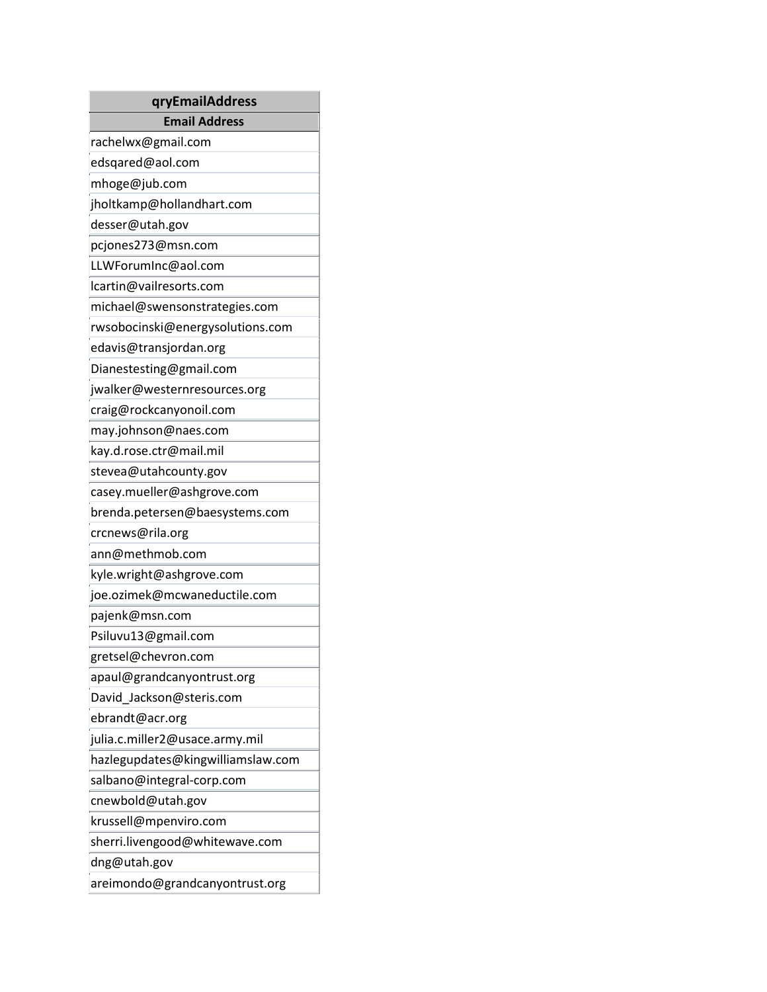| qryEmailAddress                   |  |  |  |  |
|-----------------------------------|--|--|--|--|
| <b>Email Address</b>              |  |  |  |  |
| rachelwx@gmail.com                |  |  |  |  |
| edsqared@aol.com                  |  |  |  |  |
| mhoge@jub.com                     |  |  |  |  |
| jholtkamp@hollandhart.com         |  |  |  |  |
| desser@utah.gov                   |  |  |  |  |
| pcjones273@msn.com                |  |  |  |  |
| LLWForumInc@aol.com               |  |  |  |  |
| lcartin@vailresorts.com           |  |  |  |  |
| michael@swensonstrategies.com     |  |  |  |  |
| rwsobocinski@energysolutions.com  |  |  |  |  |
| edavis@transjordan.org            |  |  |  |  |
| Dianestesting@gmail.com           |  |  |  |  |
| jwalker@westernresources.org      |  |  |  |  |
| craig@rockcanyonoil.com           |  |  |  |  |
| may.johnson@naes.com              |  |  |  |  |
| kay.d.rose.ctr@mail.mil           |  |  |  |  |
| stevea@utahcounty.gov             |  |  |  |  |
| casey.mueller@ashgrove.com        |  |  |  |  |
| brenda.petersen@baesystems.com    |  |  |  |  |
| crcnews@rila.org                  |  |  |  |  |
| ann@methmob.com                   |  |  |  |  |
| kyle.wright@ashgrove.com          |  |  |  |  |
| joe.ozimek@mcwaneductile.com      |  |  |  |  |
| pajenk@msn.com                    |  |  |  |  |
| Psiluvu13@gmail.com               |  |  |  |  |
| gretsel@chevron.com               |  |  |  |  |
| apaul@grandcanyontrust.org        |  |  |  |  |
| David Jackson@steris.com          |  |  |  |  |
| ebrandt@acr.org                   |  |  |  |  |
| julia.c.miller2@usace.army.mil    |  |  |  |  |
| hazlegupdates@kingwilliamslaw.com |  |  |  |  |
| salbano@integral-corp.com         |  |  |  |  |
| cnewbold@utah.gov                 |  |  |  |  |
| krussell@mpenviro.com             |  |  |  |  |
| sherri.livengood@whitewave.com    |  |  |  |  |
| dng@utah.gov                      |  |  |  |  |
| areimondo@grandcanyontrust.org    |  |  |  |  |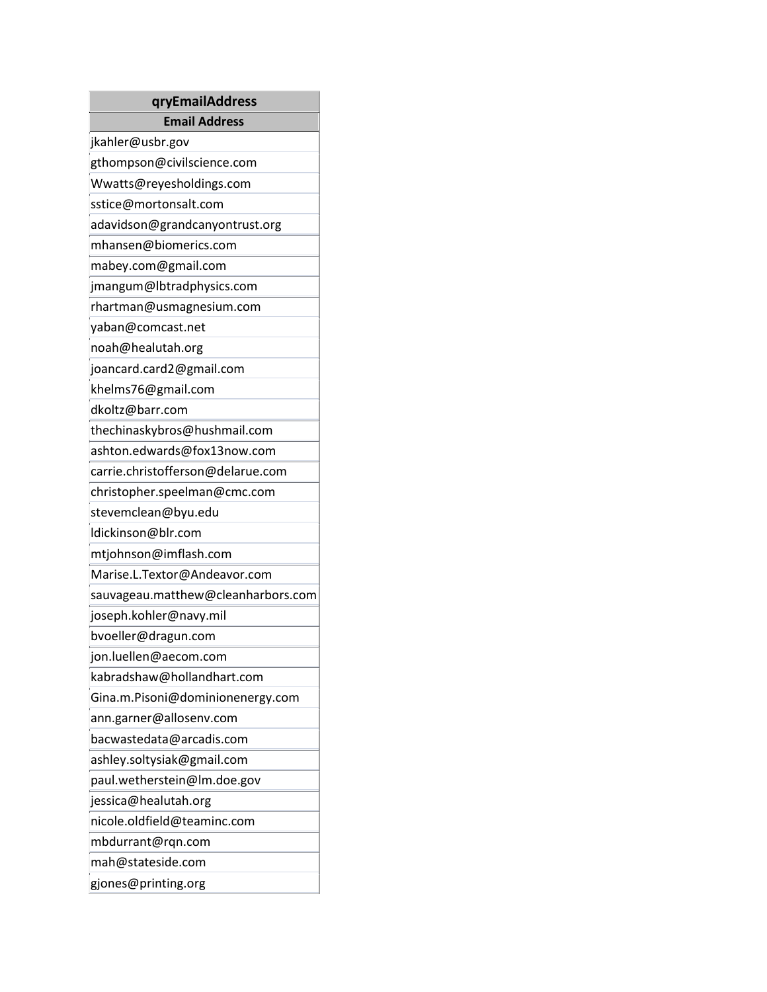| qryEmailAddress                    |  |  |  |  |
|------------------------------------|--|--|--|--|
| <b>Email Address</b>               |  |  |  |  |
| jkahler@usbr.gov                   |  |  |  |  |
| gthompson@civilscience.com         |  |  |  |  |
| Wwatts@reyesholdings.com           |  |  |  |  |
| sstice@mortonsalt.com              |  |  |  |  |
| adavidson@grandcanyontrust.org     |  |  |  |  |
| mhansen@biomerics.com              |  |  |  |  |
| mabey.com@gmail.com                |  |  |  |  |
| jmangum@lbtradphysics.com          |  |  |  |  |
| rhartman@usmagnesium.com           |  |  |  |  |
| yaban@comcast.net                  |  |  |  |  |
| noah@healutah.org                  |  |  |  |  |
| joancard.card2@gmail.com           |  |  |  |  |
| khelms76@gmail.com                 |  |  |  |  |
| dkoltz@barr.com                    |  |  |  |  |
| thechinaskybros@hushmail.com       |  |  |  |  |
| ashton.edwards@fox13now.com        |  |  |  |  |
| carrie.christofferson@delarue.com  |  |  |  |  |
| christopher.speelman@cmc.com       |  |  |  |  |
| stevemclean@byu.edu                |  |  |  |  |
| Idickinson@blr.com                 |  |  |  |  |
| mtjohnson@imflash.com              |  |  |  |  |
| Marise.L.Textor@Andeavor.com       |  |  |  |  |
| sauvageau.matthew@cleanharbors.com |  |  |  |  |
| joseph.kohler@navy.mil             |  |  |  |  |
| bvoeller@dragun.com                |  |  |  |  |
| jon.luellen@aecom.com              |  |  |  |  |
| kabradshaw@hollandhart.com         |  |  |  |  |
| Gina.m.Pisoni@dominionenergy.com   |  |  |  |  |
| ann.garner@allosenv.com            |  |  |  |  |
| bacwastedata@arcadis.com           |  |  |  |  |
| ashley.soltysiak@gmail.com         |  |  |  |  |
| paul.wetherstein@lm.doe.gov        |  |  |  |  |
| jessica@healutah.org               |  |  |  |  |
| nicole.oldfield@teaminc.com        |  |  |  |  |
| mbdurrant@rqn.com                  |  |  |  |  |
| mah@stateside.com                  |  |  |  |  |
| gjones@printing.org                |  |  |  |  |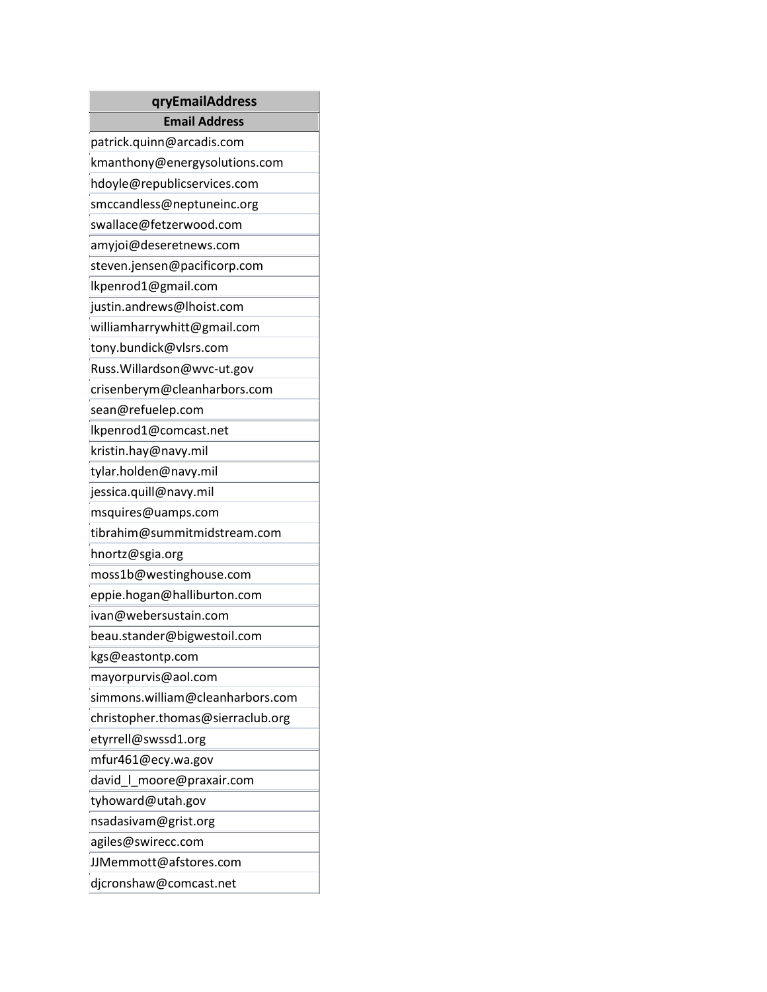| qryEmailAddress                   |  |  |  |  |
|-----------------------------------|--|--|--|--|
| <b>Email Address</b>              |  |  |  |  |
| patrick.quinn@arcadis.com         |  |  |  |  |
| kmanthony@energysolutions.com     |  |  |  |  |
| hdoyle@republicservices.com       |  |  |  |  |
| smccandless@neptuneinc.org        |  |  |  |  |
| swallace@fetzerwood.com           |  |  |  |  |
| amyjoi@deseretnews.com            |  |  |  |  |
| steven.jensen@pacificorp.com      |  |  |  |  |
| lkpenrod1@gmail.com               |  |  |  |  |
| justin.andrews@lhoist.com         |  |  |  |  |
| williamharrywhitt@gmail.com       |  |  |  |  |
| tony.bundick@vlsrs.com            |  |  |  |  |
| Russ. Willardson@wvc-ut.gov       |  |  |  |  |
| crisenberym@cleanharbors.com      |  |  |  |  |
| sean@refuelep.com                 |  |  |  |  |
| lkpenrod1@comcast.net             |  |  |  |  |
| kristin.hay@navy.mil              |  |  |  |  |
| tylar.holden@navy.mil             |  |  |  |  |
| jessica.quill@navy.mil            |  |  |  |  |
| msquires@uamps.com                |  |  |  |  |
| tibrahim@summitmidstream.com      |  |  |  |  |
| hnortz@sgia.org                   |  |  |  |  |
| moss1b@westinghouse.com           |  |  |  |  |
| eppie.hogan@halliburton.com       |  |  |  |  |
| ivan@webersustain.com             |  |  |  |  |
| beau.stander@bigwestoil.com       |  |  |  |  |
| kgs@eastontp.com                  |  |  |  |  |
| mayorpurvis@aol.com               |  |  |  |  |
| simmons.william@cleanharbors.com  |  |  |  |  |
| christopher.thomas@sierraclub.org |  |  |  |  |
| etyrrell@swssd1.org               |  |  |  |  |
| mfur461@ecy.wa.gov                |  |  |  |  |
| david   moore@praxair.com         |  |  |  |  |
| tyhoward@utah.gov                 |  |  |  |  |
| nsadasivam@grist.org              |  |  |  |  |
| agiles@swirecc.com                |  |  |  |  |
| JJMemmott@afstores.com            |  |  |  |  |
| djcronshaw@comcast.net            |  |  |  |  |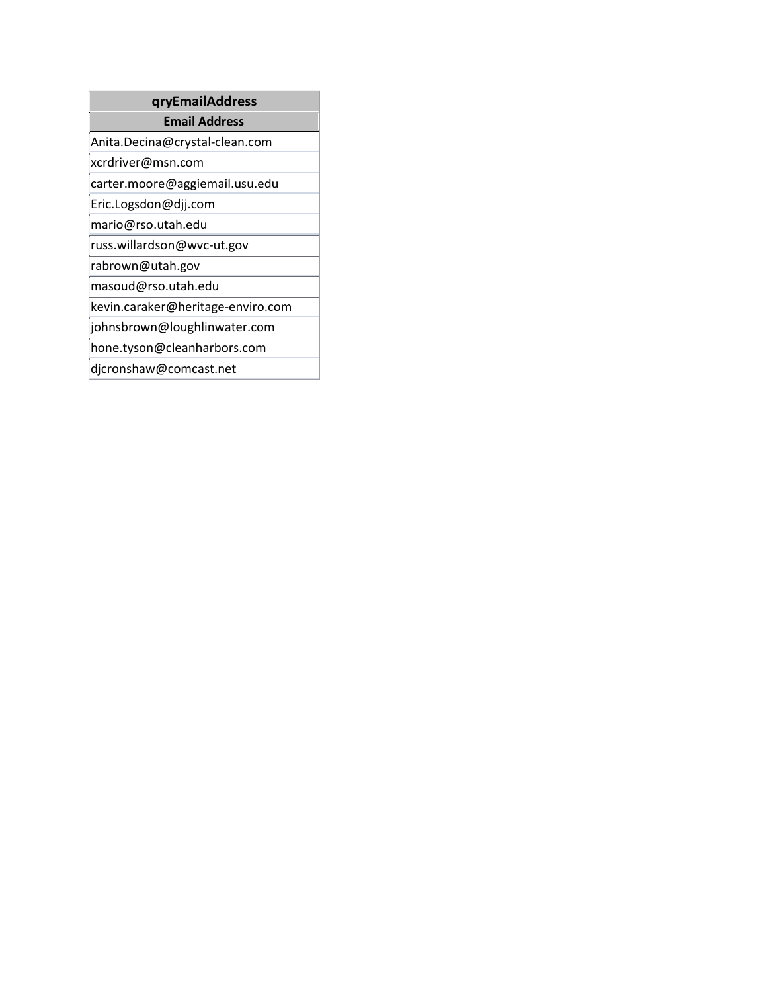## **qryEmailAddress**

### **Email Address**

Anita.Decina@crystal-clean.com

xcrdriver@msn.com

carter.moore@aggiemail.usu.edu

Eric.Logsdon@djj.com

mario@rso.utah.edu

russ.willardson@wvc-ut.gov

rabrown@utah.gov

masoud@rso.utah.edu

kevin.caraker@heritage-enviro.com

johnsbrown@loughlinwater.com

hone.tyson@cleanharbors.com

djcronshaw@comcast.net